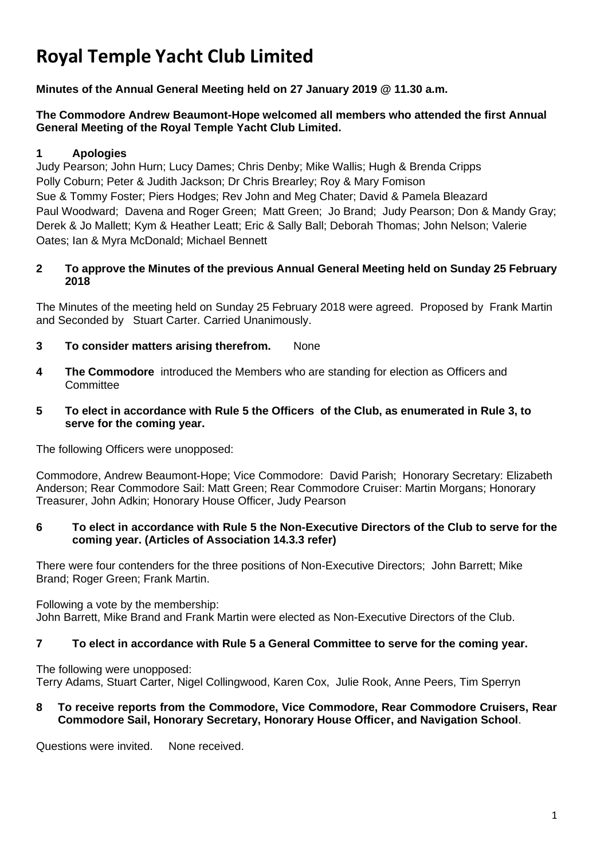# **Royal Temple Yacht Club Limited**

**Minutes of the Annual General Meeting held on 27 January 2019 @ 11.30 a.m.**

## **The Commodore Andrew Beaumont-Hope welcomed all members who attended the first Annual General Meeting of the Royal Temple Yacht Club Limited.**

## **1 Apologies**

Judy Pearson; John Hurn; Lucy Dames; Chris Denby; Mike Wallis; Hugh & Brenda Cripps Polly Coburn; Peter & Judith Jackson; Dr Chris Brearley; Roy & Mary Fomison Sue & Tommy Foster; Piers Hodges; Rev John and Meg Chater; David & Pamela Bleazard Paul Woodward; Davena and Roger Green; Matt Green; Jo Brand; Judy Pearson; Don & Mandy Gray; Derek & Jo Mallett; Kym & Heather Leatt; Eric & Sally Ball; Deborah Thomas; John Nelson; Valerie Oates; Ian & Myra McDonald; Michael Bennett

## **2 To approve the Minutes of the previous Annual General Meeting held on Sunday 25 February 2018**

The Minutes of the meeting held on Sunday 25 February 2018 were agreed. Proposed by Frank Martin and Seconded by Stuart Carter. Carried Unanimously.

- **3 To consider matters arising therefrom.** None
- **4 The Commodore** introduced the Members who are standing for election as Officers and **Committee**
- **5 To elect in accordance with Rule 5 the Officers of the Club, as enumerated in Rule 3, to serve for the coming year.**

The following Officers were unopposed:

Commodore, Andrew Beaumont-Hope; Vice Commodore: David Parish; Honorary Secretary: Elizabeth Anderson; Rear Commodore Sail: Matt Green; Rear Commodore Cruiser: Martin Morgans; Honorary Treasurer, John Adkin; Honorary House Officer, Judy Pearson

## **6 To elect in accordance with Rule 5 the Non-Executive Directors of the Club to serve for the coming year. (Articles of Association 14.3.3 refer)**

There were four contenders for the three positions of Non-Executive Directors; John Barrett; Mike Brand; Roger Green; Frank Martin.

Following a vote by the membership: John Barrett, Mike Brand and Frank Martin were elected as Non-Executive Directors of the Club.

## **7 To elect in accordance with Rule 5 a General Committee to serve for the coming year.**

The following were unopposed: Terry Adams, Stuart Carter, Nigel Collingwood, Karen Cox, Julie Rook, Anne Peers, Tim Sperryn

#### **8 To receive reports from the Commodore, Vice Commodore, Rear Commodore Cruisers, Rear Commodore Sail, Honorary Secretary, Honorary House Officer, and Navigation School**.

Questions were invited. None received.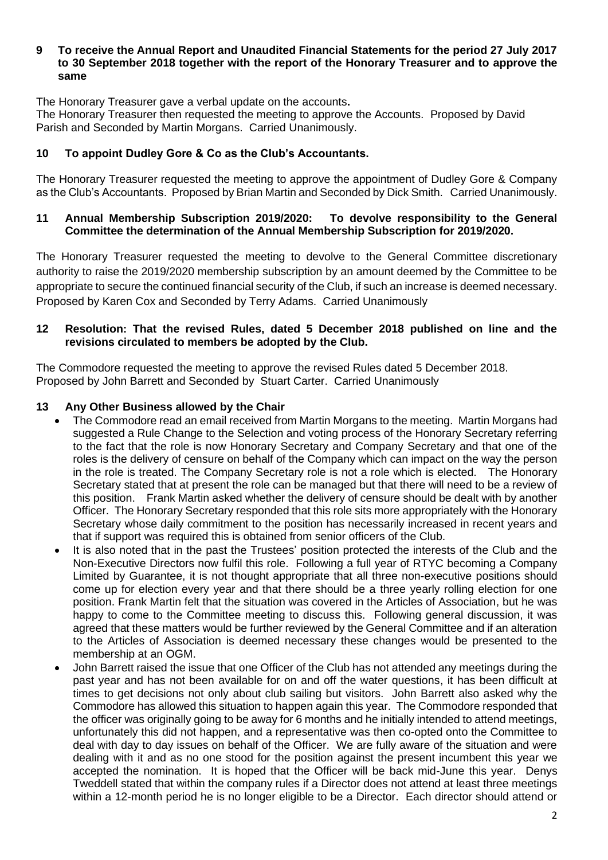#### **9 To receive the Annual Report and Unaudited Financial Statements for the period 27 July 2017 to 30 September 2018 together with the report of the Honorary Treasurer and to approve the same**

The Honorary Treasurer gave a verbal update on the accounts**.** 

The Honorary Treasurer then requested the meeting to approve the Accounts. Proposed by David Parish and Seconded by Martin Morgans. Carried Unanimously.

## **10 To appoint Dudley Gore & Co as the Club's Accountants.**

The Honorary Treasurer requested the meeting to approve the appointment of Dudley Gore & Company as the Club's Accountants. Proposed by Brian Martin and Seconded by Dick Smith. Carried Unanimously.

#### **11 Annual Membership Subscription 2019/2020: To devolve responsibility to the General Committee the determination of the Annual Membership Subscription for 2019/2020.**

The Honorary Treasurer requested the meeting to devolve to the General Committee discretionary authority to raise the 2019/2020 membership subscription by an amount deemed by the Committee to be appropriate to secure the continued financial security of the Club, if such an increase is deemed necessary. Proposed by Karen Cox and Seconded by Terry Adams. Carried Unanimously

#### **12 Resolution: That the revised Rules, dated 5 December 2018 published on line and the revisions circulated to members be adopted by the Club.**

The Commodore requested the meeting to approve the revised Rules dated 5 December 2018. Proposed by John Barrett and Seconded by Stuart Carter. Carried Unanimously

#### **13 Any Other Business allowed by the Chair**

- The Commodore read an email received from Martin Morgans to the meeting. Martin Morgans had suggested a Rule Change to the Selection and voting process of the Honorary Secretary referring to the fact that the role is now Honorary Secretary and Company Secretary and that one of the roles is the delivery of censure on behalf of the Company which can impact on the way the person in the role is treated. The Company Secretary role is not a role which is elected. The Honorary Secretary stated that at present the role can be managed but that there will need to be a review of this position. Frank Martin asked whether the delivery of censure should be dealt with by another Officer. The Honorary Secretary responded that this role sits more appropriately with the Honorary Secretary whose daily commitment to the position has necessarily increased in recent years and that if support was required this is obtained from senior officers of the Club.
- It is also noted that in the past the Trustees' position protected the interests of the Club and the Non-Executive Directors now fulfil this role. Following a full year of RTYC becoming a Company Limited by Guarantee, it is not thought appropriate that all three non-executive positions should come up for election every year and that there should be a three yearly rolling election for one position. Frank Martin felt that the situation was covered in the Articles of Association, but he was happy to come to the Committee meeting to discuss this. Following general discussion, it was agreed that these matters would be further reviewed by the General Committee and if an alteration to the Articles of Association is deemed necessary these changes would be presented to the membership at an OGM.
- John Barrett raised the issue that one Officer of the Club has not attended any meetings during the past year and has not been available for on and off the water questions, it has been difficult at times to get decisions not only about club sailing but visitors. John Barrett also asked why the Commodore has allowed this situation to happen again this year. The Commodore responded that the officer was originally going to be away for 6 months and he initially intended to attend meetings, unfortunately this did not happen, and a representative was then co-opted onto the Committee to deal with day to day issues on behalf of the Officer. We are fully aware of the situation and were dealing with it and as no one stood for the position against the present incumbent this year we accepted the nomination. It is hoped that the Officer will be back mid-June this year. Denys Tweddell stated that within the company rules if a Director does not attend at least three meetings within a 12-month period he is no longer eligible to be a Director. Each director should attend or